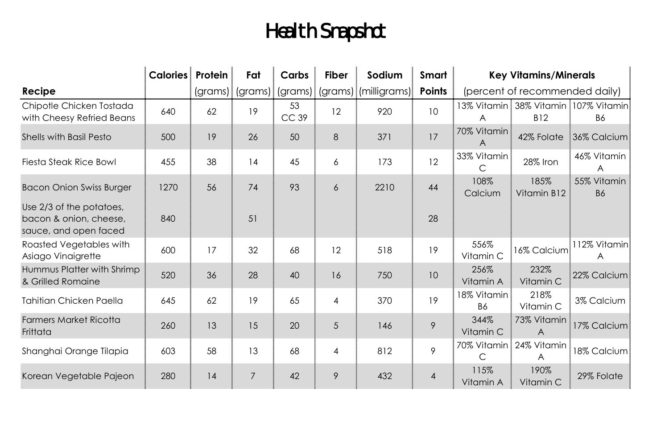## Health Snapshot

|                                                                             | <b>Calories</b> Protein |    | Fat | Carbs       | <b>Fiber</b>   | Sodium                                               | Smart          | <b>Key Vitamins/Minerals</b>   |                                  |                                           |
|-----------------------------------------------------------------------------|-------------------------|----|-----|-------------|----------------|------------------------------------------------------|----------------|--------------------------------|----------------------------------|-------------------------------------------|
| Recipe                                                                      |                         |    |     |             |                | (grams)   (grams)   (grams)   (grams)   (milligrams) | Points         | (percent of recommended daily) |                                  |                                           |
| Chipotle Chicken Tostada<br>with Cheesy Refried Beans                       | 640                     | 62 | 19  | 53<br>CC 39 | 12             | 920                                                  | 10             | A                              | <b>B12</b>                       | 3% Vitamin 38% Vitamin 107% Vitamin<br>B6 |
| Shells with Basil Pesto                                                     | 500                     | 19 | 26  | 50          | 8              | 371                                                  | 17             | 70% Vitamin<br>A               | 42% Folate                       | 36% Calcium                               |
| Fiesta Steak Rice Bowl                                                      | 455                     | 38 | 14  | 45          | 6              | 173                                                  | 12             | 33% Vitamin<br>С               | 28% Iron                         | 46% Vitamin<br>A                          |
| <b>Bacon Onion Swiss Burger</b>                                             | 1270                    | 56 | 74  | 93          | 6              | 2210                                                 | 44             | 108%<br>Calcium                | 185%<br>Vitamin B12              | 55% Vitamin<br><b>B6</b>                  |
| Use 2/3 of the potatoes,<br>bacon & onion, cheese,<br>sauce, and open faced | 840                     |    | 51  |             |                |                                                      | 28             |                                |                                  |                                           |
| Roasted Vegetables with<br>Asiago Vinaigrette                               | 600                     | 17 | 32  | 68          | 12             | 518                                                  | 19             | 556%<br>Vitamin C              | 16% Calcium                      | 112% Vitamin≣<br>A                        |
| Hummus Platter with Shrimp<br>& Grilled Romaine                             | 520                     | 36 | 28  | 40          | 16             | 750                                                  | 10             | 256%<br>Vitamin A              | 232%<br>Vitamin C                | 22% Calcium                               |
| Tahitian Chicken Paella                                                     | 645                     | 62 | 19  | 65          | $\overline{4}$ | 370                                                  | 19             | I8% Vitamin∃<br><b>B6</b>      | 218%<br>Vitamin C                | 3% Calcium                                |
| <b>Farmers Market Ricotta</b><br>Frittata                                   | 260                     | 13 | 15  | 20          | 5              | 146                                                  | 9              | 344%<br>Vitamin C              | 73% Vitamin<br>$\overline{A}$    | 17% Calcium                               |
| Shanghai Orange Tilapia                                                     | 603                     | 58 | 13  | 68          | $\overline{4}$ | 812                                                  | 9              | C                              | 70% Vitamin : 24% Vitamin :<br>A | 8% Calcium                                |
| Korean Vegetable Pajeon                                                     | 280                     | 14 | 7   | 42          | 9              | 432                                                  | $\overline{4}$ | 115%<br>Vitamin A              | 190%<br>Vitamin C                | 29% Folate                                |